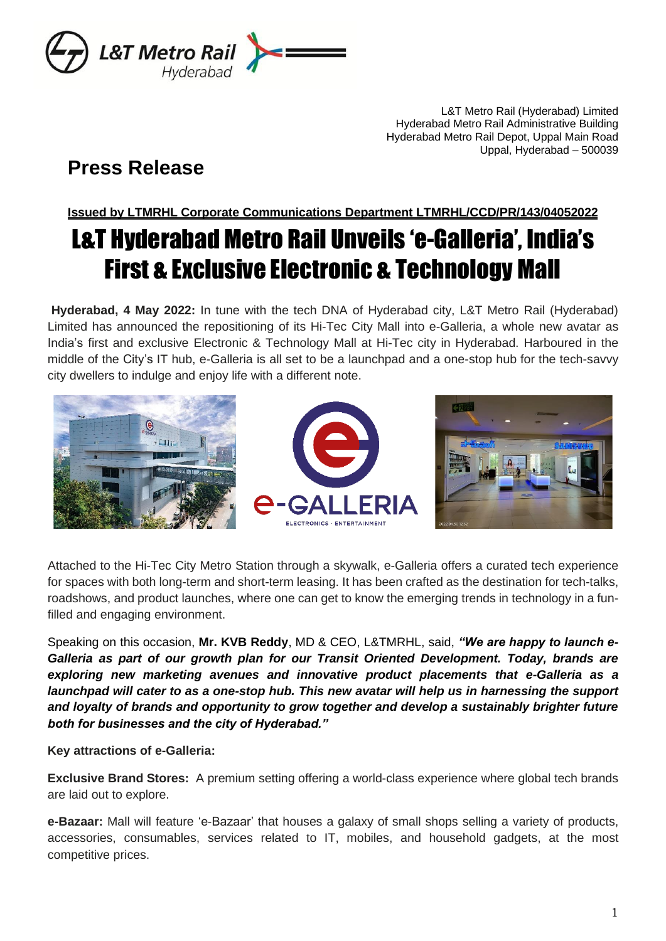

L&T Metro Rail (Hyderabad) Limited Hyderabad Metro Rail Administrative Building Hyderabad Metro Rail Depot, Uppal Main Road Uppal, Hyderabad – 500039

## **Press Release**

**Issued by LTMRHL Corporate Communications Department LTMRHL/CCD/PR/143/04052022**

## L&T Hyderabad Metro Rail Unveils 'e-Galleria', India's First & Exclusive Electronic & Technology Mall

**Hyderabad, 4 May 2022:** In tune with the tech DNA of Hyderabad city, L&T Metro Rail (Hyderabad) Limited has announced the repositioning of its Hi-Tec City Mall into e-Galleria, a whole new avatar as India's first and exclusive Electronic & Technology Mall at Hi-Tec city in Hyderabad. Harboured in the middle of the City's IT hub, e-Galleria is all set to be a launchpad and a one-stop hub for the tech-savvy city dwellers to indulge and enjoy life with a different note.



Attached to the Hi-Tec City Metro Station through a skywalk, e-Galleria offers a curated tech experience for spaces with both long-term and short-term leasing. It has been crafted as the destination for tech-talks, roadshows, and product launches, where one can get to know the emerging trends in technology in a funfilled and engaging environment.

Speaking on this occasion, **Mr. KVB Reddy**, MD & CEO, L&TMRHL, said, *"We are happy to launch e-Galleria as part of our growth plan for our Transit Oriented Development. Today, brands are exploring new marketing avenues and innovative product placements that e-Galleria as a launchpad will cater to as a one-stop hub. This new avatar will help us in harnessing the support and loyalty of brands and opportunity to grow together and develop a sustainably brighter future both for businesses and the city of Hyderabad."*

**Key attractions of e-Galleria:**

**Exclusive Brand Stores:** A premium setting offering a world-class experience where global tech brands are laid out to explore.

**e-Bazaar:** Mall will feature 'e-Bazaar' that houses a galaxy of small shops selling a variety of products, accessories, consumables, services related to IT, mobiles, and household gadgets, at the most competitive prices.